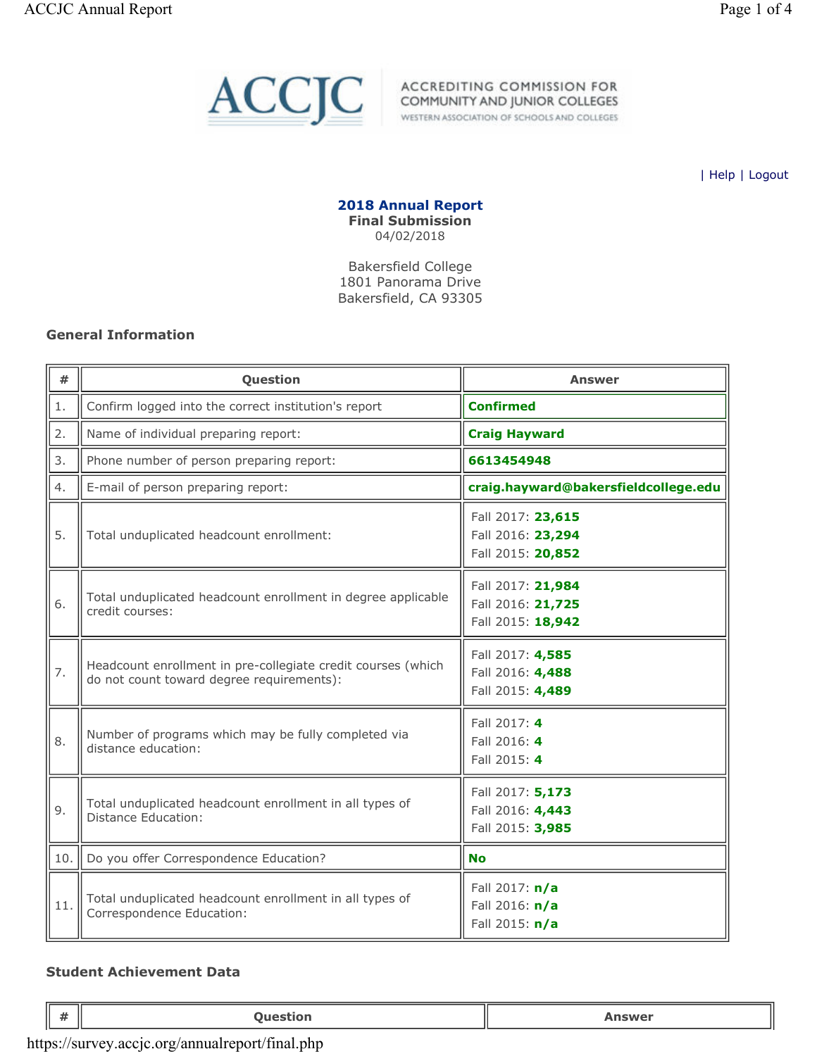

WESTERN ASSOCIATION OF SCHOOLS AND COLLEGES

| Help | Logout

#### 2018 Annual Report Final Submission 04/02/2018

Bakersfield College 1801 Panorama Drive Bakersfield, CA 93305

### General Information

| #   | Question                                                                                                  | <b>Answer</b>                                               |  |  |  |
|-----|-----------------------------------------------------------------------------------------------------------|-------------------------------------------------------------|--|--|--|
| 1.  | Confirm logged into the correct institution's report                                                      | <b>Confirmed</b>                                            |  |  |  |
| 2.  | Name of individual preparing report:                                                                      | <b>Craig Hayward</b>                                        |  |  |  |
| 3.  | Phone number of person preparing report:                                                                  | 6613454948                                                  |  |  |  |
| 4.  | E-mail of person preparing report:                                                                        | craig.hayward@bakersfieldcollege.edu                        |  |  |  |
| 5.  | Total unduplicated headcount enrollment:                                                                  | Fall 2017: 23,615<br>Fall 2016: 23,294<br>Fall 2015: 20,852 |  |  |  |
| 6.  | Total unduplicated headcount enrollment in degree applicable<br>credit courses:                           | Fall 2017: 21,984<br>Fall 2016: 21,725<br>Fall 2015: 18,942 |  |  |  |
| 7.  | Headcount enrollment in pre-collegiate credit courses (which<br>do not count toward degree requirements): | Fall 2017: 4,585<br>Fall 2016: 4,488<br>Fall 2015: 4,489    |  |  |  |
| 8.  | Number of programs which may be fully completed via<br>distance education:                                | Fall 2017: 4<br>Fall 2016: 4<br>Fall 2015: 4                |  |  |  |
| 9.  | Total unduplicated headcount enrollment in all types of<br>Distance Education:                            | Fall 2017: 5,173<br>Fall 2016: 4,443<br>Fall 2015: 3,985    |  |  |  |
| 10. | Do you offer Correspondence Education?                                                                    | <b>No</b>                                                   |  |  |  |
| 11. | Total unduplicated headcount enrollment in all types of<br>Correspondence Education:                      | Fall 2017: n/a<br>Fall 2016: n/a<br>Fall 2015: n/a          |  |  |  |

## Student Achievement Data

| . |  |
|---|--|
|   |  |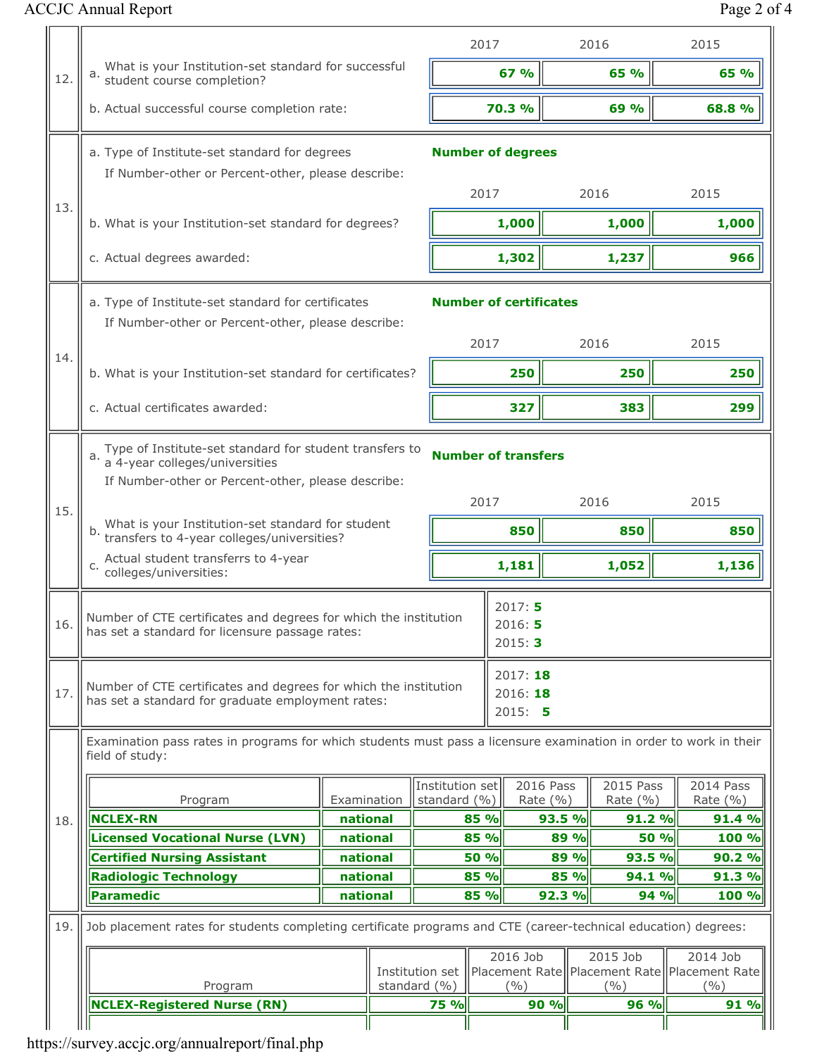# ACCJC Annual Report Page 2 of 4

|     |                                                                                                                                                                                                       |                      |  |                                 | 2017                                                             |                       | 2016                      | 2015                                                             |
|-----|-------------------------------------------------------------------------------------------------------------------------------------------------------------------------------------------------------|----------------------|--|---------------------------------|------------------------------------------------------------------|-----------------------|---------------------------|------------------------------------------------------------------|
| 12. | a. What is your Institution-set standard for successful<br>a. student course completion?                                                                                                              |                      |  | 67 %                            |                                                                  | 65 %                  | 65 %                      |                                                                  |
|     | b. Actual successful course completion rate:                                                                                                                                                          |                      |  |                                 | 70.3 %                                                           |                       | 69 %                      | 68.8 %                                                           |
|     | <b>Number of degrees</b><br>a. Type of Institute-set standard for degrees<br>If Number-other or Percent-other, please describe:                                                                       |                      |  |                                 |                                                                  |                       |                           |                                                                  |
| 13. | b. What is your Institution-set standard for degrees?                                                                                                                                                 |                      |  |                                 | 2017                                                             | 1,000                 | 2016<br>1,000             | 2015<br>1,000                                                    |
|     | c. Actual degrees awarded:                                                                                                                                                                            |                      |  |                                 |                                                                  | 1,302                 | 1,237                     | 966                                                              |
|     | a. Type of Institute-set standard for certificates<br>If Number-other or Percent-other, please describe:                                                                                              |                      |  |                                 | <b>Number of certificates</b>                                    |                       |                           |                                                                  |
| 14. |                                                                                                                                                                                                       |                      |  |                                 | 2017                                                             |                       | 2016                      | 2015                                                             |
|     | b. What is your Institution-set standard for certificates?                                                                                                                                            |                      |  |                                 |                                                                  | 250                   | 250                       | 250                                                              |
|     | c. Actual certificates awarded:                                                                                                                                                                       |                      |  |                                 |                                                                  | 327                   | 383                       | 299                                                              |
| 15. | Type of Institute-set standard for student transfers to<br>a 4-year colleges/universities<br><b>Number of transfers</b><br>If Number-other or Percent-other, please describe:<br>2017<br>2016<br>2015 |                      |  |                                 |                                                                  |                       |                           |                                                                  |
|     | What is your Institution-set standard for student<br>transfers to 4-year colleges/universities?                                                                                                       |                      |  | 850                             |                                                                  | 850                   | 850                       |                                                                  |
|     | Actual student transferrs to 4-year<br>colleges/universities:                                                                                                                                         |                      |  |                                 |                                                                  | 1,181                 | 1,052                     | 1,136                                                            |
| 16. | 2017:5<br>Number of CTE certificates and degrees for which the institution<br>2016: 5<br>has set a standard for licensure passage rates:<br>2015:3                                                    |                      |  |                                 |                                                                  |                       |                           |                                                                  |
| 17. | 2017:18<br>Number of CTE certificates and degrees for which the institution<br>2016:18<br>has set a standard for graduate employment rates:<br>2015: 5                                                |                      |  |                                 |                                                                  |                       |                           |                                                                  |
|     | Examination pass rates in programs for which students must pass a licensure examination in order to work in their<br>field of study:                                                                  |                      |  |                                 |                                                                  |                       |                           |                                                                  |
|     | Program                                                                                                                                                                                               | Examination          |  |                                 | Institution set<br>2016 Pass<br>standard $(\% )$<br>Rate $(\% )$ |                       | 2015 Pass<br>Rate $(\% )$ | 2014 Pass<br>Rate $(\% )$                                        |
| 18. | <b>NCLEX-RN</b><br><b>Licensed Vocational Nurse (LVN)</b>                                                                                                                                             | national             |  |                                 | 85 %                                                             | 93.5 %                | 91.2 %<br>89 %            | 91.4 %<br>100 %<br>50 %                                          |
|     | <b>Certified Nursing Assistant</b>                                                                                                                                                                    | national<br>national |  |                                 | 85 %<br><b>50 %</b>                                              |                       | 89 %<br>93.5 %            | 90.2 %                                                           |
|     | <b>Radiologic Technology</b>                                                                                                                                                                          | national             |  |                                 | 85 %                                                             |                       | 94.1 %<br>85 %            | 91.3 %                                                           |
|     | <b>Paramedic</b><br>national                                                                                                                                                                          |                      |  | 85 %<br>92.3 %<br>94 %<br>100 % |                                                                  |                       |                           |                                                                  |
| 19. | Job placement rates for students completing certificate programs and CTE (career-technical education) degrees:                                                                                        |                      |  |                                 |                                                                  |                       |                           |                                                                  |
|     | Program                                                                                                                                                                                               |                      |  | Institution set<br>standard (%) |                                                                  | 2016 Job<br>$($ % $)$ | 2015 Job<br>$($ % $)$     | 2014 Job<br>Placement Rate Placement Rate Placement Rate<br>( %) |
|     | <b>NCLEX-Registered Nurse (RN)</b>                                                                                                                                                                    |                      |  | <b>75 %</b>                     |                                                                  | 90 %                  | 96 %                      | 91 %                                                             |

||<br>https://survey.accjc.org/annualreport/final.php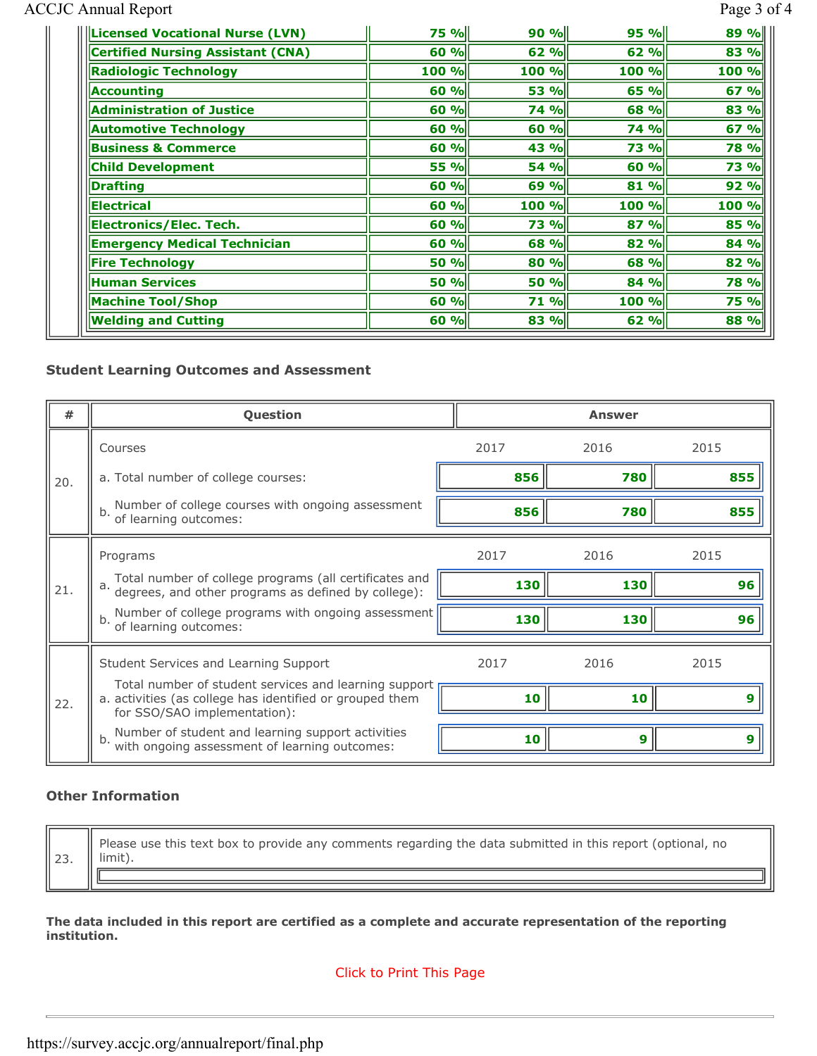# ACCJC Annual Report Page 3 of 4

| <b>IIILicensed Vocational Nurse (LVN)</b> | 75 %ll  | 90%         | $95$ %      | 89 %        |
|-------------------------------------------|---------|-------------|-------------|-------------|
| <b>Certified Nursing Assistant (CNA)</b>  | 60 %    | 62%         | 62 %        | 83 %        |
| <b>Radiologic Technology</b>              | 100 %ll | 100 %       | 100 %       | 100 %       |
| <b>Accounting</b>                         | $60$ %  | 53 %        | 65 %ll      | $67$ %      |
| <b>Administration of Justice</b>          | $60$ %  | 74 %        | 68 %l       | 83 %        |
| <b>Automotive Technology</b>              | $60$ %  | 60 %        | 74 %l       | 67 %        |
| <b>Business &amp; Commerce</b>            | 60 %    | 43 %        | 73 %        | <b>78 %</b> |
| <b>Child Development</b>                  | 55 %    | <b>54 %</b> | 60 %ll      | <b>73 %</b> |
| <b>Drafting</b>                           | 60%     | 69 %        | 81 %        | 92%         |
| <b>Electrical</b>                         | 60 %    | 100 %       | 100 %       | 100 %       |
| <b>Electronics/Elec. Tech.</b>            | $60$ %  | 73 %        | 87 %        | 85 %        |
| <b>Emergency Medical Technician</b>       | $60$ %  | 68 %        | 82 %l       | 84%         |
| <b>Fire Technology</b>                    | 50 %ll  | 80 %        | <b>68 %</b> | 82 %l       |
| <b>Human Services</b>                     | 50 %ll  | 50 %        | 84 %        | <b>78 %</b> |
| <b>Machine Tool/Shop</b>                  | $60$ %  | 71 %        | 100 %ll     | <b>75 %</b> |
| <b>Welding and Cutting</b>                | 60 %    | 83 %        | 62%         | 88 %        |

### Student Learning Outcomes and Assessment

| #   | Question                                                                                                                                          | <b>Answer</b> |      |      |  |
|-----|---------------------------------------------------------------------------------------------------------------------------------------------------|---------------|------|------|--|
|     | Courses                                                                                                                                           | 2017          | 2016 | 2015 |  |
| 20. | a. Total number of college courses:                                                                                                               | 856           | 780  | 855  |  |
|     | Number of college courses with ongoing assessment<br>of learning outcomes:                                                                        | 856           | 780  | 855  |  |
|     | Programs                                                                                                                                          | 2017          | 2016 | 2015 |  |
| 21. | Total number of college programs (all certificates and<br>a. degrees, and other programs as defined by college):                                  | 130           | 130  | 96   |  |
|     | Number of college programs with ongoing assessment<br>b. values.                                                                                  | 130           | 130  | 96   |  |
|     | Student Services and Learning Support                                                                                                             | 2017          | 2016 | 2015 |  |
| 22. | Total number of student services and learning support<br>a. activities (as college has identified or grouped them<br>for SSO/SAO implementation): | 10            | 10   | 9    |  |
|     | Number of student and learning support activities<br>with ongoing assessment of learning outcomes:                                                | 10            | 9    | 9    |  |

## Other Information

| Please use this text box to provide any comments regarding the data submitted in this report (optional, no<br>limit). |
|-----------------------------------------------------------------------------------------------------------------------|
|                                                                                                                       |

The data included in this report are certified as a complete and accurate representation of the reporting institution.

## Click to Print This Page